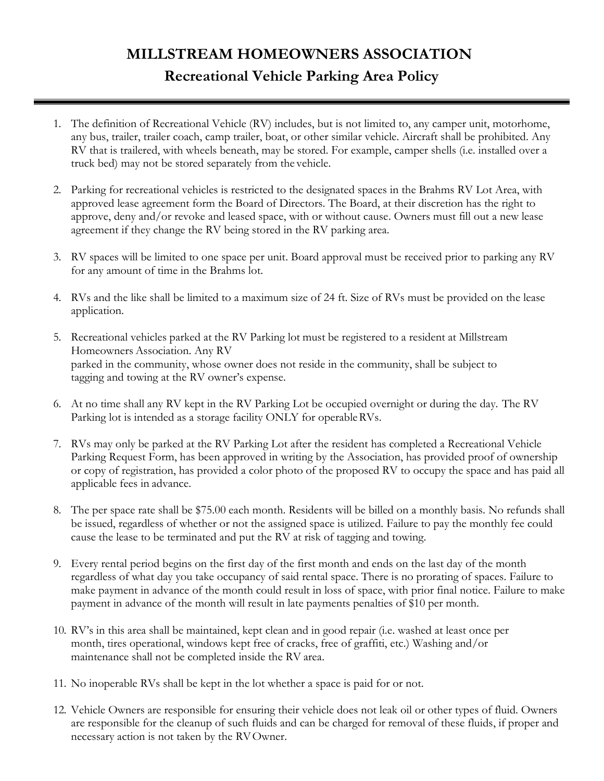## **MILLSTREAM HOMEOWNERS ASSOCIATION Recreational Vehicle Parking Area Policy**

- 1. The definition of Recreational Vehicle (RV) includes, but is not limited to, any camper unit, motorhome, any bus, trailer, trailer coach, camp trailer, boat, or other similar vehicle. Aircraft shall be prohibited. Any RV that is trailered, with wheels beneath, may be stored. For example, camper shells (i.e. installed over a truck bed) may not be stored separately from the vehicle.
- 2. Parking for recreational vehicles is restricted to the designated spaces in the Brahms RV Lot Area, with approved lease agreement form the Board of Directors. The Board, at their discretion has the right to approve, deny and/or revoke and leased space, with or without cause. Owners must fill out a new lease agreement if they change the RV being stored in the RV parking area.
- 3. RV spaces will be limited to one space per unit. Board approval must be received prior to parking any RV for any amount of time in the Brahms lot.
- 4. RVs and the like shall be limited to a maximum size of 24 ft. Size of RVs must be provided on the lease application.
- 5. Recreational vehicles parked at the RV Parking lot must be registered to a resident at Millstream Homeowners Association. Any RV parked in the community, whose owner does not reside in the community, shall be subject to tagging and towing at the RV owner's expense.
- 6. At no time shall any RV kept in the RV Parking Lot be occupied overnight or during the day. The RV Parking lot is intended as a storage facility ONLY for operableRVs.
- 7. RVs may only be parked at the RV Parking Lot after the resident has completed a Recreational Vehicle Parking Request Form, has been approved in writing by the Association, has provided proof of ownership or copy of registration, has provided a color photo of the proposed RV to occupy the space and has paid all applicable fees in advance.
- 8. The per space rate shall be \$75.00 each month. Residents will be billed on a monthly basis. No refunds shall be issued, regardless of whether or not the assigned space is utilized. Failure to pay the monthly fee could cause the lease to be terminated and put the RV at risk of tagging and towing.
- 9. Every rental period begins on the first day of the first month and ends on the last day of the month regardless of what day you take occupancy of said rental space. There is no prorating of spaces. Failure to make payment in advance of the month could result in loss of space, with prior final notice. Failure to make payment in advance of the month will result in late payments penalties of \$10 per month.
- 10. RV's in this area shall be maintained, kept clean and in good repair (i.e. washed at least once per month, tires operational, windows kept free of cracks, free of graffiti, etc.) Washing and/or maintenance shall not be completed inside the RV area.
- 11. No inoperable RVs shall be kept in the lot whether a space is paid for or not.
- 12. Vehicle Owners are responsible for ensuring their vehicle does not leak oil or other types of fluid. Owners are responsible for the cleanup of such fluids and can be charged for removal of these fluids, if proper and necessary action is not taken by the RVOwner.